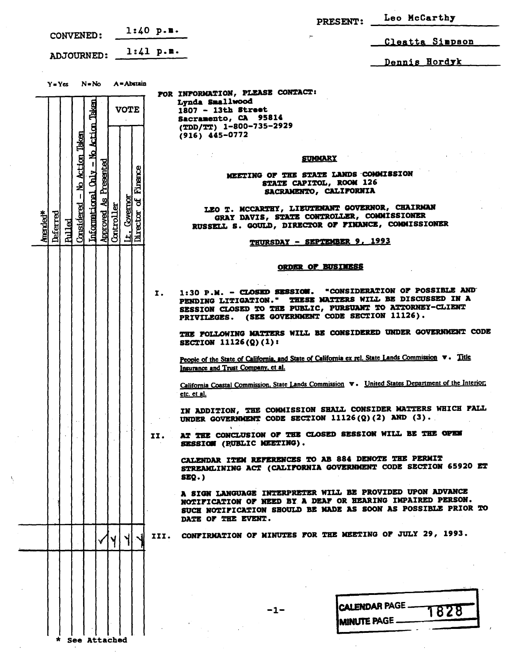|                                                                                                               |                                                                                                                                                                                                                                                            | PRESENT: Leo McCarthy                                 |
|---------------------------------------------------------------------------------------------------------------|------------------------------------------------------------------------------------------------------------------------------------------------------------------------------------------------------------------------------------------------------------|-------------------------------------------------------|
| CONVENED:                                                                                                     | $1:40$ p.m.                                                                                                                                                                                                                                                | Cleatta Simpson                                       |
| <b>ADJOURNED:</b>                                                                                             | 1:41 p.m.                                                                                                                                                                                                                                                  | Dennis Hordyk                                         |
|                                                                                                               |                                                                                                                                                                                                                                                            |                                                       |
| N≖No A=Abstain<br>$Y = Yes$                                                                                   | FOR INFORMATION, PLEASE CONTACT:                                                                                                                                                                                                                           |                                                       |
| <b>VOTE</b>                                                                                                   | Lynda Smallwood<br>1807 - 13th Street<br>Sacramento, CA 95814                                                                                                                                                                                              |                                                       |
|                                                                                                               | (TDD/TT) 1-800-735-2929<br>$(916)$ 445-0772                                                                                                                                                                                                                |                                                       |
| No Action Taken<br>Taken                                                                                      |                                                                                                                                                                                                                                                            |                                                       |
| <u>Action</u>                                                                                                 | <b>SUMMARY</b>                                                                                                                                                                                                                                             |                                                       |
| Presented<br>Finance<br><b>Chair</b><br>لو                                                                    | MEETING OF THE STATE LANDS COMMISSION<br>STATE CAPITOL, ROOM 126<br>SACRAMENTO, CALIFORNIA                                                                                                                                                                 |                                                       |
| Informational<br>Covernor<br>ႜ႕                                                                               | LEO T. MCCARTHY, LIEUTENANT GOVERNOR, CHAIRMAN                                                                                                                                                                                                             |                                                       |
| Considered<br>Controller<br>It. Cover<br>Director<br>Approved<br>Amended*<br><b>Deferred</b><br><u>Pulled</u> | GRAY DAVIS, STATE CONTROLLER, COMMISSIONER<br>RUSSELL S. GOULD, DIRECTOR OF FINANCE, COMMISSIONER                                                                                                                                                          |                                                       |
|                                                                                                               | THURSDAY - SEPTEMBER 9, 1993                                                                                                                                                                                                                               |                                                       |
|                                                                                                               | <b>ORDER OF BUSINESS</b>                                                                                                                                                                                                                                   |                                                       |
|                                                                                                               |                                                                                                                                                                                                                                                            |                                                       |
|                                                                                                               | 1:30 P.M. - CLOSED SESSION. "CONSIDERATION OF POSSIBLE AND<br>$\mathbf{r}$ .<br>PENDING LITIGATION." THESE NATTERS WILL BE DISCUSSED IN A<br>SESSION CLOSED TO THE PUBLIC, PURSUANT TO ATTORNEY-CLIENT<br>PRIVILEGES. (SEE GOVERNMENT CODE SECTION 11126). |                                                       |
|                                                                                                               | THE FOLLOWING MATTERS WILL BE CONSIDERED UNDER GOVERNMENT CODE<br>SECTION 11126(Q)(1):                                                                                                                                                                     |                                                       |
|                                                                                                               | People of the State of California, and State of California ex rel. State Lands Commission v. Title<br>Insurance and Trust Company, et al.                                                                                                                  |                                                       |
|                                                                                                               | California Coastal Commission, State Lands Commission $\mathbf v$ . United States Department of the Interior,<br>etc. et al.                                                                                                                               |                                                       |
|                                                                                                               | IN ADDITION, THE COMMISSION SHALL CONSIDER MATTERS WHICH FALL<br>UNDER GOVERNMENT CODE SECTION $11126(Q)(2)$ AND $(3)$ .                                                                                                                                   |                                                       |
|                                                                                                               | AT THE CONCLUSION OF THE CLOSED SESSION WILL BE THE OPEN<br>II.<br>SESSION (RUBLIC MEETING).                                                                                                                                                               |                                                       |
|                                                                                                               | CALENDAR ITEM REFERENCES TO AB 884 DENOTE THE PERMIT<br>STREAMLINING ACT (CALIFORNIA GOVERNMENT CODE SECTION 65920 ET<br>SEQ.                                                                                                                              |                                                       |
|                                                                                                               | A SIGN LANGUAGE INTERPRETER WILL BE PROVIDED UPON ADVANCE<br>NOTIFICATION OF NEED BY A DEAF OR HEARING IMPAIRED PERSON.<br>SUCH NOTIFICATION SHOULD BE MADE AS SOON AS POSSIBLE PRIOR TO<br>DATE OF THE EVENT.                                             |                                                       |
|                                                                                                               | III. CONFIRMATION OF MINUTES FOR THE MEETING OF JULY 29, 1993.                                                                                                                                                                                             |                                                       |
|                                                                                                               |                                                                                                                                                                                                                                                            |                                                       |
|                                                                                                               |                                                                                                                                                                                                                                                            |                                                       |
|                                                                                                               |                                                                                                                                                                                                                                                            |                                                       |
|                                                                                                               | $-1-$                                                                                                                                                                                                                                                      | <b>CALENDAR PAGE -</b><br>828<br><b>MINUTE PAGE -</b> |
| <b>See Attached</b>                                                                                           |                                                                                                                                                                                                                                                            |                                                       |

 $\ddot{\phantom{a}}$ 

 $\overline{\mathcal{L}}$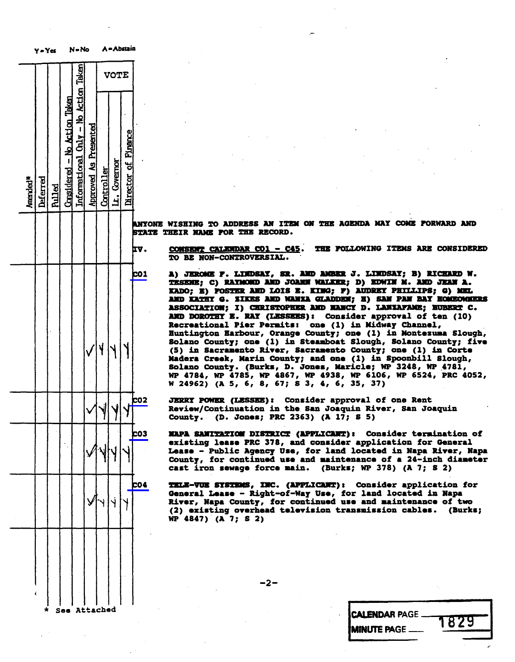|          | Y = Yes  |               |                             | N = No                               |                              | A = ADSI3IR       |              |                     |                                                                                                                                                                                                                                                                                      |
|----------|----------|---------------|-----------------------------|--------------------------------------|------------------------------|-------------------|--------------|---------------------|--------------------------------------------------------------------------------------------------------------------------------------------------------------------------------------------------------------------------------------------------------------------------------------|
|          |          |               |                             |                                      |                              | <b>VOTE</b>       |              |                     |                                                                                                                                                                                                                                                                                      |
| Amended* | Deferred | <b>Pulled</b> | $Considered - No. Acti on.$ | Informational Chly - No Action Taken | <b>Approved As Presented</b> | <u>Controller</u> | Lt. Governor | Director of Finance |                                                                                                                                                                                                                                                                                      |
|          |          |               |                             |                                      |                              |                   |              |                     | <b>ANYONE</b><br>WISHING<br>2<br>STATE<br><b>THEIR NAME</b>                                                                                                                                                                                                                          |
|          |          |               |                             |                                      |                              |                   |              |                     | IV.<br><b>CONSENT (</b><br><b>TO</b><br><b>NOI</b><br>BE                                                                                                                                                                                                                             |
|          |          |               |                             |                                      |                              | ۱ļ                |              |                     | <b>CO1</b><br>A)<br><b>JEROMI</b><br><b>TESENE;</b><br><b>I</b><br>KADO; E)<br><b>AND KATH</b><br><b>ASSOCIAT</b><br>AND DOROT<br>Recreatio<br><b>Huntingto</b><br><b>Solano</b><br>$\frac{C_0}{S_0}$<br>$(5)$ in<br>C1<br><b>Madera</b><br><b>Solano</b> Co<br>WP 4784,<br>W 24962) |
|          |          |               |                             |                                      |                              |                   |              |                     | <b>co2</b><br>JERRY<br>POI<br>Review/Co<br>County.                                                                                                                                                                                                                                   |
|          |          |               |                             |                                      |                              |                   |              |                     | CO3<br>KAPA SANT<br>existing<br>$Lense - I$<br>County,<br>cast iron                                                                                                                                                                                                                  |
|          |          |               |                             |                                      |                              |                   |              |                     | <b>CO4</b><br><b>TKLE-VUE</b><br>General 1<br>River, Na<br>$(2)$ exist<br>WP 4847)                                                                                                                                                                                                   |
|          |          |               |                             |                                      |                              |                   |              |                     |                                                                                                                                                                                                                                                                                      |
|          |          |               | Saa .                       |                                      | Attached                     |                   |              |                     |                                                                                                                                                                                                                                                                                      |

YONE WISHING TO ADDRESS AN ITEM ON THE AGENDA MAY COME FORWARD AND **ATE THEIR NAME FOR THE RECORD.** 

CONSENT CALENDAR CO1 - C45. THE FOLLOWING ITEMS ARE CONSIDERED TO BE NON-CONTROVERSIAL.

A) JEROME F. LINDSAY, SR. AND AMBER J. LINDSAY; B) RICHARD W.<br>TESENE; C) RAYMOND AND JOANN WALKER; D) EDWIN M. AND JEAN A. KADO; E) POSTER AND LOIS E. KING; F) AUDREY PHILLIPS; G) MEL KADU; E) FUSIEK AND LOIS E. KING; F) AUDREI FAILLLIPS;<br>1900 Tamby A. Fitte ind wings atanomy. T) Can ban bat 1 AND KATHY G. ZIKES AND MANZA GLADDEN; H) SAN PAN BAY HOMEOWNERS ASSOCIATION; I) CHRISTOPHER AND NANCY D. LANZAFAME; HUBERT C. AND DOROTHY E. RAY (LESSEES): CONSIGET approval of ten (10)<br>Decreational Dier Dermits: one (1) in Midway Channel Recreational Pier Permits: One (1) in Midway<br>Rustington Rechaus, Owence Countri and (1) Huntington Harbour, Orange County; one (1) in Montezuma Slough, (5) in Sacramento River, Sacramento County; one (1) in Corte Madera Creek, Marin County; and one (1) in Spoonbill Slough, Solano County. (Burks, D. Jones, Maricle; WP 3248, WP 4781, WP 4784, WP 4783, WP 4867, WP 4738, WP 6100, WP 6324, PRC 4032<br>W 34463\ /R 5, S, R, A7+ S 3, A, A, 35, 37\ W 24962) (A 5, 6, 8, 67; \$ 3, 4, 6, 35, 37)

JERRY POWER (LESSEE) : Consider approval of one Rent Review/Continuation in the San Joaquin River,<br>Sannie – (D. Joaque BBS 2262) (1 17. S.E.) County. (D. Jones; PRC 2363) (A 17; S 5)

MAPA SAMITATION DISTRICT (APPLICANT): Consider termination of<br>existing lease PRC 378, and consider application for General Lease - Public Agency Use, for land located in Napa River, Napa County, for continued use and maintenance of a 24-inch diameter County, for continued use and maintenance of a 24-inch diameter of a 24-inch diameter of a 24-inch diameter of cast iron sewage force main. (Burks; WP 378) (A

CO4 TELE-VUE SYSTEMS, INC. (APPLICANT) : Consider application for General Lease - Right-of-Way Use, for land located in Napa River, Napa County, for continued use and maintenance of two (2) existing overhead television transmission cables. (Burks; WP 4847) (A 7; \$ 2)

-2-

See Attached CALENDAR PAGE MINUTE PAGE  $-$  1829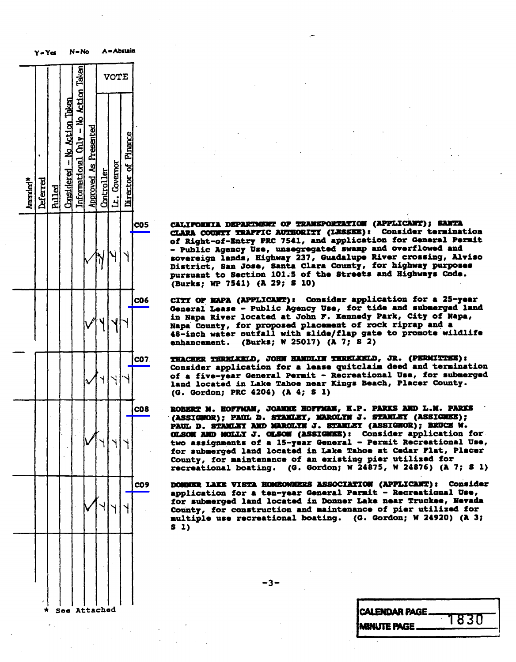

cos CALIFORNIA DEPARTMENT OF TRANSPORTATION (APPLICANT) ; SANTA of Right-of-Entry PRC 7541, and application for General Permit - Public Agency Use, unsegregated swamp and overflowed and sovereign lands, Highway 237, Guadalupe River crossing, Alviso<br>District, San Jose, Santa Clara County, for highway purposes District, San Dose, Santa Clara County, 200 magnet<br>mureuset to Section 101:5 of the Streets and High pursuant to Section 101.5 of the Streets and T<br>(Burke: MD 7541) (1 29: 8 10) (Burks; WP 7541) (A 29; \$ 10)

CO6 CITY OF NAPA (APPLICANT) : Consider application for a 25-year in Napa River located at John F. Kennedy Park, City of Napa, Napa County, for proposed placement of rock riprap and a 48-inch water outfall with slide/flap gate to promote wildlife 48-inch water outfall with slide/flap gate to provide with season of provide with substitution of the problem of the provide wildlife substitution of the provide wildlife substitution of the provide wildlife substitution o enhancement. (Burks; W 25027) (A 7;

CO7 THACHER THRELKELD, JOHN HANDLIN THRELKELD, JR. (PERMITTEE):<br>Consider application for a lease quitclaim deed and termination of a five-year General Permit - Recreational Use, for submerged  $\frac{1}{\frac{1}{\sqrt{2}}}$  or a five-year General Permit - Recreational Use, for submerged in the Tahoe near Kings Beach, Placer County. land located in Lake Tahoe near Kings Beach, Place  $(9.802404)$  PRC 4204)  $(4)$ 

CO8 ROBERT M. HOFFMAN, JOANNE HOFFMAN, H.P. PARKS AND L.M. PARKS PAUL D. STANLEY AND MAROLYM J. STANLEY (ASSIGNOR); BRUCE W. OLSOM AND MOLLY J. OLSOM (ASSIGNEE): Consider application for two assignments of a 15-year General - Permit Recreational Use, for submerged land located in Lake Tahoe at Cedar Flat, Placer County, for maintenance of an existing pier utilized for County, for maintenance of an existed<br>recreational boating. (G. Gordon: W recreational boating. (a. extudi, w 24875) w 24876) (w

C09 DOWNER LAKE VISTA HOMEOWNERS ASSOCIATION (APPLICANT) : Consider for submerged land located in Donner Lake near Truckee, Nevada for submerged land located in Donner Lake near Trucker<br>
multiple use recreational boating. (G. Gordon; ) multiple use recreational boating. (C. Gordon; )<br>S 1) s 1)

| <b><i>CALENDAR PAGE</i></b> |      |
|-----------------------------|------|
| <b>IMINUTE PAGE.</b>        | 1830 |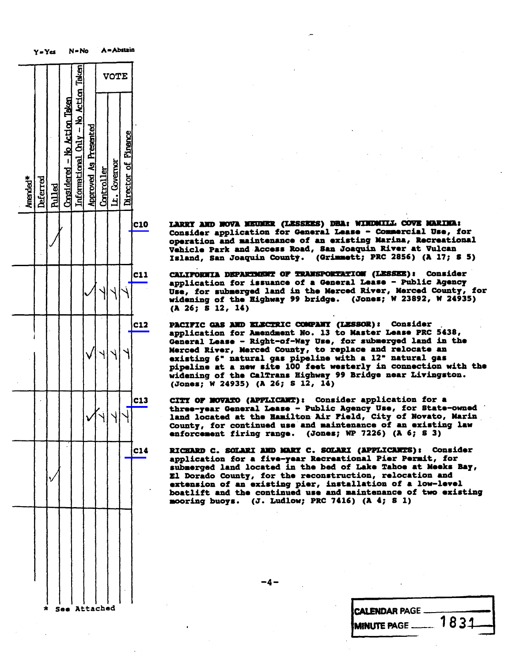|          | Y=Yes    |               |                              | $N = No$                             |                              |             | A = Abstain             |                          |            |                                                                                                                |  |
|----------|----------|---------------|------------------------------|--------------------------------------|------------------------------|-------------|-------------------------|--------------------------|------------|----------------------------------------------------------------------------------------------------------------|--|
|          |          |               |                              |                                      |                              | <b>VOTE</b> |                         |                          |            |                                                                                                                |  |
| Amended* | Deferred | <b>Rulled</b> | Considered - No Action Taken | Informational Cnly - No Action Taken | <b>Approved As Presented</b> | Controller  | Lt. Covernor            | Director of Finance      |            |                                                                                                                |  |
|          |          |               |                              |                                      |                              |             |                         |                          | <b>C10</b> | <b>LARRY AM</b><br>Consider<br>operatio<br>Vehicle<br>Island,                                                  |  |
|          |          |               |                              |                                      |                              |             |                         |                          | <b>C11</b> | <b>CALIFORN</b><br>applicat.<br><b>Use, for</b><br>widening<br>(A 26;<br>S                                     |  |
|          |          |               |                              |                                      |                              |             |                         |                          | <b>C12</b> | <b>PACIFIC</b><br>applicat<br><b>General</b><br><b>Merced R</b><br>existing<br>pipeline<br>widening<br>(Jones; |  |
|          |          |               |                              |                                      |                              | Kj          | $\overline{\mathsf{V}}$ | $\overline{\phantom{0}}$ | C13        | CITY<br>ОF<br>three-ye<br><b>loc</b><br>land<br>County,<br>nforcem                                             |  |
|          |          |               |                              |                                      |                              |             |                         |                          | C14        | <b>RICHARD</b><br>applicat<br>subnerge<br><b>El Dorad</b><br>extensio<br>boatlift<br>mooring                   |  |
|          |          |               |                              |                                      |                              |             |                         |                          |            |                                                                                                                |  |
|          |          |               |                              |                                      |                              |             |                         |                          |            |                                                                                                                |  |

LARRY AND NOVA NEUNER (LESSEES) DBA: WINDMILL COVE MARINA:<br>Consider application for General Lease - Commercial Use, for operation and maintenance of an existing Marina, Recreational Vehicle Park and Access Road, San Joaquin River at Vulcan Vehicle Park and Access Road, San Joaquin County. (Grimmett: PRC 2  $I_{\text{S}}$  and  $I_{\text{S}}$  and  $I_{\text{S}}$   $I_{\text{S}}$   $I_{\text{S}}$   $I_{\text{S}}$   $I_{\text{S}}$   $I_{\text{S}}$   $I_{\text{S}}$   $I_{\text{S}}$   $I_{\text{S}}$   $I_{\text{S}}$   $I_{\text{S}}$   $I_{\text{S}}$   $I_{\text{S}}$   $I_{\text{S}}$   $I_{\text{S}}$   $I_{\text{S}}$   $I_{\text{S}}$   $I_{\text{S}}$   $I_{\text{S}}$   $I_{$ 

CALIFORNIA DEPARTMENT OF TRANSPORTATION (LESSEE): Consider<br>application for issuance of a General Lease - Public Agency application for issuance of the Merced River, Merced County, Use, for submerged land in the Merced River, Merced County, Merced County, Merced County, Merced County, Merced County, Merced County, Marced County, Marced Coun (A 26; 8 12, 14)

> PACIFIC GAS AND ELECTRIC COMPANY (LESSOR): Consider application for Amendment No. 13 to Master Lease PRC 5438, General Lease - Right-of-Way Use, for submerged land in the Merced River, Merced County, to replace and relocate an existing 6" natural gas pipeline with a 12" natural gas pipeline at a new site 100 feet westerly in connection with the widening of the CalTrans Highway 99 Bridge near Livingston. widening of the California Highway 99 Bridge near<br>(Jones: W 24935) (A 26: S 12, 14)  $(0.0065, 0.255)$  (A 27)  $\frac{1}{2}$

CITY OF NOVATO (APPLICANT): Consider application for a three-year General Lease - Public Agency Use, for State-owned land located at the Hamilton Air Field, City of Novato, Marin County, for continued use and maintenance of an existing law County, for continued use and maintenance of an existing response of an existing response of  $\sim$  6: enforcement firms range. (Jones) we first, (n

RICHARD C. SOLARI AND MARY C. SOLARI (APPLICANTS): Consider<br>application for a five-year Recreational Pier Permit, for submerged land located in the bed of Lake Tahoe at Meeks Bay, El Dorado County, for the reconstruction, relocation and extension of an existing pier, installation of a low-level boatlift and the continued use and maintenance of two existing boatlift and the continued use and maintenance of two existing  $m$ ooring buoys. (J. Ludiow; PRC 7416) (1: 4

See Attached CALENDAR PAGE **MINUTE PAGE**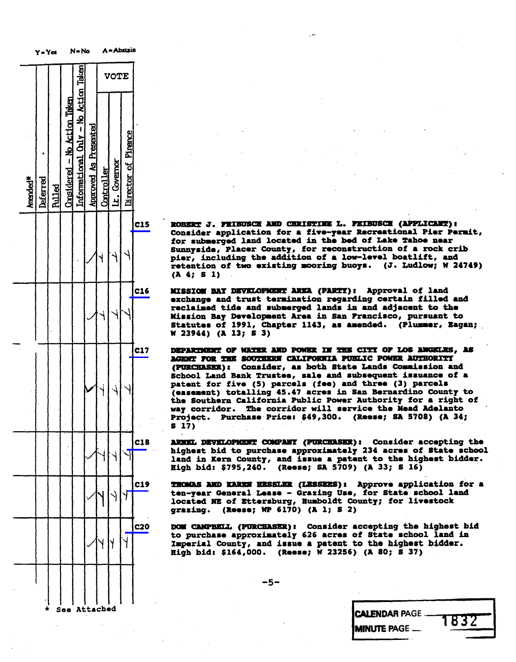|                                                                                                                                                           |            | A = Abstain         |              |            |                              | $N - No$                             |                              |               | $Y = Y$ es |          |  |
|-----------------------------------------------------------------------------------------------------------------------------------------------------------|------------|---------------------|--------------|------------|------------------------------|--------------------------------------|------------------------------|---------------|------------|----------|--|
|                                                                                                                                                           |            | <b>VOTE</b>         |              |            |                              |                                      |                              |               |            |          |  |
|                                                                                                                                                           |            | Director of Finance | Lt. Covernor | Controller | <b>Approved As Presented</b> | Informational Only - No Action Taken | Considered - No Action Taken | <b>Pulled</b> | Deferred   | Amended* |  |
| <b>ROBERT</b><br>Consider<br>for subs<br>Sunnysid<br>pier, in<br>retentic<br>pier,<br>(A, 4)<br>s                                                         | <b>C15</b> |                     |              |            |                              |                                      |                              |               |            |          |  |
| KISSIO<br><b>xchange</b><br>reclaime<br><b>Mission</b><br>Statutes<br>W <sub>23944</sub> )                                                                | C16        |                     |              |            |                              |                                      |                              |               |            |          |  |
| <b>DEPARTICE</b><br><b>AGENT FO</b><br>(PURCHAS<br><b>School</b><br>I<br>ź<br>patent<br>(easemen<br><b>Sout</b><br>the<br>corr<br>way<br>Project.<br>817) | <b>C17</b> |                     |              |            |                              |                                      |                              |               |            |          |  |
| <b>ARNEL DE</b><br>highest<br>land in<br><b>High bid</b>                                                                                                  | C18        |                     |              |            |                              |                                      |                              |               |            |          |  |
| <b>THOMAS 2</b><br>ten-year<br><b>located</b><br>grazing.                                                                                                 | C19        |                     |              |            |                              |                                      |                              |               |            |          |  |
| <b>DOM CAMP</b><br>to purch<br><b>Imperial</b><br>High bid                                                                                                | <b>C20</b> |                     | y            |            |                              |                                      |                              |               |            |          |  |
|                                                                                                                                                           |            |                     |              |            |                              |                                      |                              |               |            |          |  |

ROBERT J. FEIBUSCH AND CHRISTINE L. FEIBUSCH (APPLICANT):<br>Consider application for a five-year Recreational Pier Permit, for submerged land located in the bed of Lake Tahoe near Sunnyside, Placer County, for reconstruction of a rock crib pier, including the addition of a low-level boatlift, and pier, including the admitted of a low-level<br>retention of two existing mooring buoys. retention of two existing mooring buoys. (J. Ludsow;  $(A \ 4: \ 8 \ 1)$ (A 4; 8 1)

MISSION BAY DEVELOPMENT AREA (PARTY): Approval of land<br>exchange and trust termination regarding certain filled and reclaimed tide and submerged lands in and adjacent to the Mission Bay Development Area in San Francisco, pursuant to mission bay bevelopment Alte in San Francisco<br>- Chatutes of 1991, Chanter 1143, as amended. Statutes of 1991, Chapter 1143, as amended. (Plum)<br>Diagnose of 1991, Chapter 1143, as amended. (Plum W 23944) (A 13; 8 3)

DEPARTMENT OF WATER AND POWER IN THE CITY OF LOS ANGELES, AS<br>AGENT FOR THE SOUTHERN CALIFORNIA PUBLIC POWER AUTHORITY (PURCHASER): Consider, as both State Lands Commission and School Land Bank Trustee, sale and subsequent issuance of a patent for five (5) parcels (fee) and three (3) parcels (easement) totalling 45.47 acres in San Bernardino County to the Southern California Public Power Authority for a right of way corridor. The corridor will service the Mead Adelanto way corridor. The corridor will service the Mead Adelanto Project. Purchase Price: \$49,300. (Reese; SA 37)<br>8 17) 8 17)

ARNEL DEVELOPMENT COMPANY (PURCHASER): Consider accepting the<br>highest bid to purchase approximately 234 acres of State school land in Kern County, and issue a patent to the highest bidder. land in Kern County, and issue a patent to the highest bidder.  $H_{24}$  bid: \$795,240. (Reese; SA 5709) (A 33

THOMAS AND KAREN HESSLER (LESSEES): Approve application for a ten-year General Lease - Grazing Use, for State school land located NE of Ettersburg, Humboldt County; for livestock located NE of Ecoupolity; Humboldt County; for lives grassag. (Reese) M. este)

DOM CAMPBELL (PURCHASER): Consider accepting the highest bid<br>to purchase approximately 626 acres of State school land in Imperial County, and issue a patent to the highest bidder. High bid: \$164,000. (Reese; W 23256) (A 80; S 37)

-5-

| * See Attached | <b>CALENDAR PAGE </b><br>$\overline{1}$ |
|----------------|-----------------------------------------|
|                | DJ Z<br><b>MINUTE PAGE</b>              |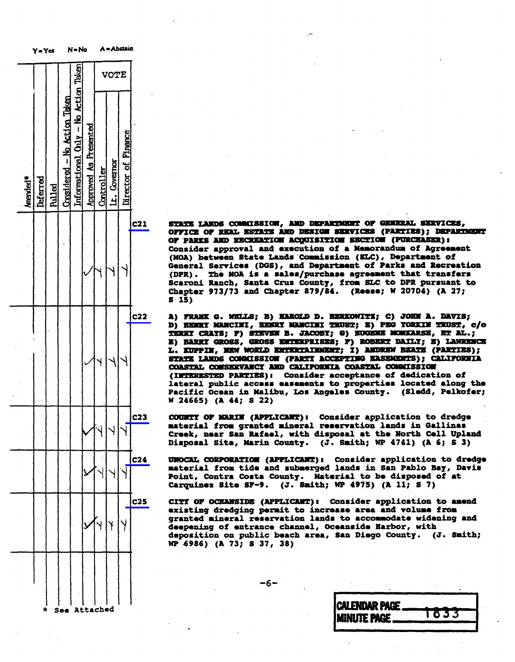|                      | Y=Yes    |        |                               | $N - No$                             |                              | A = Abstain |              |                     |                 |  |                                             |                                                                                                                   |         |  |
|----------------------|----------|--------|-------------------------------|--------------------------------------|------------------------------|-------------|--------------|---------------------|-----------------|--|---------------------------------------------|-------------------------------------------------------------------------------------------------------------------|---------|--|
|                      |          |        |                               |                                      |                              | <b>VOTE</b> |              |                     |                 |  |                                             |                                                                                                                   |         |  |
| Amended <sup>*</sup> | Deferred | hilled | Considered - No. Action Taken | Informational Chiy - No Action Taken | <b>Approved As Presented</b> | Controller  | Lt. Covernor | Director of Finance |                 |  |                                             |                                                                                                                   |         |  |
|                      |          |        |                               |                                      |                              |             |              |                     | <b>C21</b>      |  | STATE<br>S                                  | office<br><b>OF PARKS</b><br>Consider<br>(MOA) be<br><b>General</b><br>(DPR).<br><b>Scaroni</b><br>Chapter<br>15) |         |  |
|                      |          |        |                               |                                      |                              |             |              |                     | <b>C22</b>      |  | A)<br>D)<br>TKRRY<br>B)<br>L.<br>STATE<br>W | 72 VII<br>HENRY<br>BARRY<br><b>KUPP L</b><br><b>COASTAL</b><br><b>(INTERES</b><br>lateral<br>Pacific<br>24665)    | œ<br>LX |  |
|                      |          |        |                               |                                      |                              |             |              |                     |                 |  |                                             | material<br>Creek, n<br>Disposal                                                                                  |         |  |
|                      |          |        |                               |                                      |                              |             |              |                     | c24             |  |                                             | <b>UNOCAL C</b><br>material<br>Point, C<br>Carquine                                                               |         |  |
|                      |          |        |                               |                                      |                              |             |              |                     | C <sub>25</sub> |  |                                             | CITY OF<br>existing<br>granted<br>deepenin<br>depositi<br>WP 6986)                                                |         |  |
|                      |          |        |                               |                                      |                              |             |              |                     |                 |  |                                             |                                                                                                                   |         |  |

STATE LANDS COMMISSION, AND DEPARTMENT OF GENERAL SERVICES,<br>OFFICE OF REAL ESTATE AND DESIGN SERVICES (PARTIES); DEPARTMENT OF PARKS AND RECREATION ACQUISITION SECTION (PURCHASER) : Consider approval and execution of a Memorandum of Agreement (MOA) between State Lands Commission (SLC), Department of General Services (DGS), and Department of Parks and Recreation  $(DPR)$ . The MOA is a sales/purchase agreement that transfers (DIR) . The NOA is a sales/purchase agreement to the Noah is a stranger than the transfer Scaroni Ranch, Santa Cruz County, from SDC to Dir.<br>Chapter 973/73 and Chapter 279/24 - (Deese: W 207 Chapter 973/73 and Chapter 879/84. (Reese; W s 15)

A) FRANK G. WELLS; B) HAROLD D. BERKOWITZ; C) JOHN A. DAVIS;<br>D) HENRY MANCINI, HENRY MANCINI TRUST; E) PEG YORKIN TRUST, c/o TERRY CRAYS; F) STEVEN B. JACOBY; G) EUGENE MONKARSH, ET AL.; E) BARRY GROSS, GROSS ENTERPRISES; F) ROBERT DAILT; H) LAWRENCE L. KUPPIN, MSW WORLD ENTERTAINMENT; I) AMDREW BEATH (PARTIES); STATE LANDS COMMISSION (PARTI ACCEPTING EASEMENTS); CALIFORNIA COASTAL CONSERVANCY AND CALIFORNIA COASTAL COMMISSION (INTERESTED PARTIES): Consider acceptance of dedication of lateral public access easements to properties located along the lateral public access exsements to properties . Pacific Ocean in Malibu, Los Angeles County. (Sleditor County)<br>Subsidient (Sledd, Pelko  $W$  24665) (A 44; S 22)

COUNTY OF MARIN (APPLICANT): Consider application to dredge material from granted mineral reservation lands in Gallinas<br>Creek, near San Rafael, with disposal at the North Cell Upland Creek, near San Rafael, with disposal at the No<br>Disposal Cita Narin County, (J. Cmith: ND 476 Disposal Site, Marin County. (J. Smith; WP 4741) (A 6; 8 3)

UNOCAL CORPORATION (APPLICANT): Consider application to dredge material from tide and submerged lands in San Pablo Bay, Davis Point, Contra Costa County. Material to be disposed of at Carquinez Site SF-9. (J. Smith; WP 4975) (A 11; S 7)

CITY OF OCEANSIDE (APPLICANT): Consider application to amend<br>existing dredging permit to increase area and volume from granted mineral reservation lands to accommodate widening and deepening of entrance channel, Oceanside Harbor, with deposition on public beach area, San Diego County. (J. Smith; WP 6986) (A 73; \$ 37, 38)

-6-

| $\star$ | See Attached | <b>CALENDAR PAGE</b><br><b>IMINUTE PAGE</b><br>- 1 |
|---------|--------------|----------------------------------------------------|
|         |              |                                                    |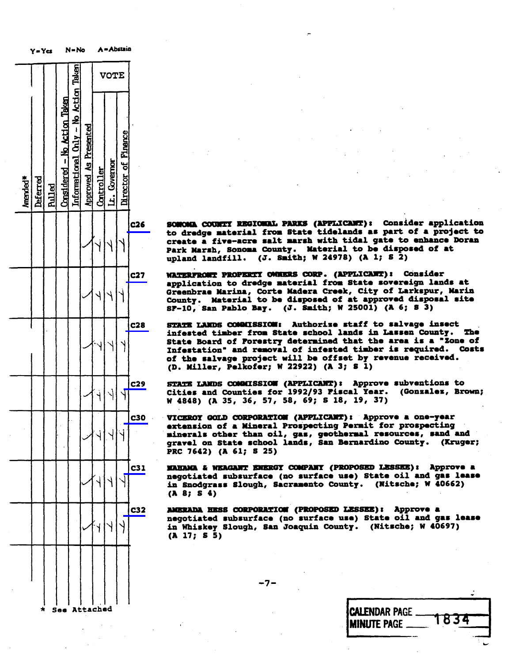|                                                                                       |                 |                          | A = Abstain  |            |                       | $N - No$                             |                              | Y=Yes  |          |          |
|---------------------------------------------------------------------------------------|-----------------|--------------------------|--------------|------------|-----------------------|--------------------------------------|------------------------------|--------|----------|----------|
|                                                                                       |                 | <b>VOTE</b>              |              |            |                       |                                      |                              |        |          |          |
|                                                                                       |                 | Director of Finance      | Lt. Covernor | Controller | Approved As Presented | Informational Only - No Action Taken | Considered - No Action Taken | hilled | Deferred | Amended* |
| ¢<br><b>SONON</b><br>to dredg<br>create<br>Park Mar<br>$\mathbf{1}$<br>upland         | C <sub>26</sub> |                          |              |            |                       |                                      |                              |        |          |          |
| <b>WATERFRO</b><br>applicat<br>Greenbra<br>County.<br>$s - 10$ ,<br>⊺S                | <b>C27</b>      |                          |              |            |                       |                                      |                              |        |          |          |
| STATE LA<br>infested<br><b>State Bo</b><br>Infestat<br>of the<br><b>g</b><br>(D. Mill | C28             |                          |              |            |                       |                                      |                              |        |          |          |
| STATE LA<br>Cities<br>W 4848)                                                         | C <sub>29</sub> | $\overline{\mathcal{A}}$ | Ŋ            |            |                       |                                      |                              |        |          |          |
| ₩<br>43OI.<br>extensio<br>mineral:<br>gravel c<br>PRC 7642                            | CJU             |                          |              |            |                       |                                      |                              |        |          |          |
| <b>MAHAMA</b><br>negotiat<br>in Snodg<br>$(A \tB; S)$                                 | C31             |                          |              |            |                       |                                      |                              |        |          |          |
| AMERADA<br>negotiat<br>in Whish<br>(A 17; 8)                                          | <b>C32</b>      |                          |              |            |                       |                                      |                              |        |          |          |
|                                                                                       |                 |                          |              |            |                       |                                      |                              |        |          |          |
|                                                                                       |                 |                          |              | Attached   |                       |                                      | Saa                          |        | *        |          |

SONOMA COUNTY REGIONAL PARKS (APPLICANT): Consider application<br>to dredge material from State tidelands as part of a project to create a five-acre salt marsh with tidal gate to enhance Doran Park Marsh, Sonoma County. Material to be disposed of at  $P_{\text{min}}$   $P_{\text{max}}$   $P_{\text{max}}$   $P_{\text{max}}$   $P_{\text{max}}$   $P_{\text{max}}$   $P_{\text{max}}$   $P_{\text{max}}$   $P_{\text{max}}$   $P_{\text{max}}$   $P_{\text{max}}$   $P_{\text{max}}$   $P_{\text{max}}$   $P_{\text{max}}$   $P_{\text{max}}$   $P_{\text{max}}$   $P_{\text{max}}$   $P_{\text{max}}$   $P_{\text{max}}$   $P_{\text{max}}$   $P_{\text{max}}$   $P_{\text{max}}$   $u$ pland landfill. (J. Smith; W 24978

WATERFRONT PROPERTY OWNERS CORP. (APPLICANT): Consider<br>application to dredge material from State sovereign lands at application to dredge material from State Sovere<br>Greenhrae Marina, Corte Madera Creek, City of La Greenbras Marina, Corte Madera Creek, Creenbergur, County. Material to be disposed of at approved dis County. Material to be disposed of at approved the approximate of at approximate of at approximate of a site o  $S_{\text{S}}$   $\sim$   $10, 841$  Pablo Bay. (J. Smith; W 25001) ("

STATE LANDS COMMISSION: Authorize staff to salvage insect<br>infested timber from State school lands in Lassen County. The State Board of Forestry determined that the area is a "Zone of Infestation" and removal of infested timber is required. Costs<br>of the salvage project will be offset by revenue received. of the salvage project will be offset by -<br>(D. Millar, Palkofar: W 22922) (A 3: S 1)  $(\nu)$ . Miller, Pelkoler, W 22/22) (

STATE LANDS COMMISSION (APPLICANT): Approve subventions to<br>Cities and Counties for 1992/93 Fiscal Year. (Gonzalez, Brown; cities and Counties for 1992/93 Fiscal Text: (Confidently De-<br>W 4848) (A 35. 36. 57. 58. 69: S 18. 19. 37)  $W$  4048) (A 35, 50, 61, 60, 67, 57, 5

VICEROY GOLD CORPORATION (APPLICANT): Approve a one-year<br>extension of a Mineral Prospecting Permit for prospecting minerals other than oil, gas, geothermal resources, sand and minerals ounce then only gas, geotherman resources. gravel on State school lands, San Bernardino County. (Kruger; PRC 7642) (A 61; 8 25)

MAHAMA & WEAGANT ENERGY COMPANY (PROPOSED LESSEE): Approve a negotiated subsurface (no surface use) State oil and gas lease negotiated subturface (no subturf use) State<br>State on State of County, (N in Sacrylass Slough, Sacramento County. (Nitore (A 8; 8 4)

AMERADA HESS CORPORATION (PROPOSED LESSEE): Approve a negotiated subsurface (no surface use) State oil and gas lease negotiated subsurface (no surface use) State of ylyly in Whiskey Slough, San Joaquin County. (Nitsche; W 40697) (A 17; \$ 5)

\* See Attached CALENDAR PAGE 1834

-7-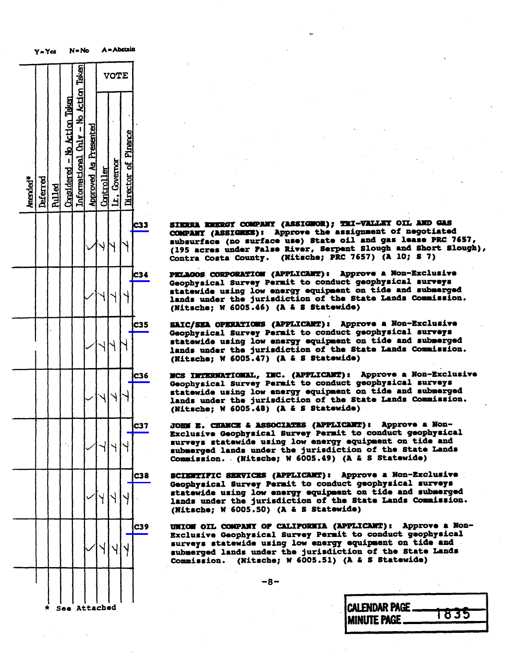|          | Y = Yes  |               |                              | N = No                               |                              | л.          |              | سعادهم ا            |            |                                                                 |               |
|----------|----------|---------------|------------------------------|--------------------------------------|------------------------------|-------------|--------------|---------------------|------------|-----------------------------------------------------------------|---------------|
|          |          |               |                              |                                      |                              | <b>VOTE</b> |              |                     |            |                                                                 |               |
| Amended* | Deferred | <b>Rulled</b> | Considered - No Action Taken | Informational Chly - No Action Taken | <b>Approved As Presented</b> | Controller  | Lt. Covernor | Director of Pinance |            |                                                                 |               |
|          |          |               |                              |                                      |                              |             |              |                     | <b>C33</b> | SIERRI<br><b>CONPANY</b><br>$(195$ acr<br>Contra                | subsurfa<br>C |
|          |          |               |                              |                                      |                              |             |              |                     | C34        | <b>PELAGOS</b><br>Geophysi<br>lands un<br>(Nitsche              | statewid      |
|          |          |               |                              |                                      |                              |             |              |                     | <b>C35</b> | <b>SAIC/SEA</b><br>Geophysi<br>statewid<br>lands un<br>(Nitsche |               |
|          |          |               |                              |                                      |                              |             |              |                     | C36        | xcs<br>Geophysi<br>statewid<br>lands un<br>(Nitsche             | <b>INTE</b>   |
|          |          |               |                              |                                      |                              |             |              |                     | C37        | <b>JOHN E.</b><br>Exclusiv<br>surveys<br>submerge<br>Commissi   |               |
|          |          |               |                              |                                      |                              |             |              |                     | C38        | <b>SCIERTII</b><br>Geophysi<br>statewid<br><b>lands</b> ur      | (Nitsche      |
|          |          |               |                              |                                      |                              |             |              |                     | <b>C39</b> | <b>UNION 01</b><br>Exclusiv<br>surveys<br>submerge<br>Commissi  |               |
|          |          |               |                              |                                      |                              |             |              |                     |            |                                                                 |               |

SIERRA ENERGY COMPANY (ASSIGNOR); TRI-VALLEY OIL AND GAS<br>COMPANY (ASSIGNEE): Approve the assignment of negotiated subsurface (no surface use) State oil and gas lease PRC 7657, (195 acres under False River, Serpent Slough and Short Slough),  $\frac{1}{5}$  contra Costa County. (Nitsche; PRC 7657) (A 10; S 7) Contra Costa County. (Nitsche; PRC 7657) (A 10; 8 7)

PELAGOS CORPORATION (APPLICANT): Approve a Non-Exclusive<br>Geophysical Survey Permit to conduct geophysical surveys statewide using low energy equipment on tide and submerged lands under the jurisdiction of the State Lands Commission. lands under the jurisdiction of the State Lands<br>(Nitecha: W 6005.46) (A & S Statewide)  $\sum_{i=1}^{n}$ 

SAIC/SEA OPERATIONS (APPLICANT): Approve a Non-Exclusive<br>Geophysical Survey Permit to conduct geophysical surveys statewide using low energy equipment on tide and submerged lands under the jurisdiction of the State Lands Commission. lands under the jurisdiction of the State Lands<br>(Nitsche: W 6005.47) (A & S Statewide) (Nitschef  $\mu$  weight) (a  $\alpha$  subtle

NCS INTERNATIONAL, INC. (APPLICANT): Approve a Non-Exclusive<br>Geophysical Survey Permit to conduct geophysical surveys statewide using low energy equipment on tide and submerged lands under the jurisdiction of the State Lands Commission. lands under the jurisdiction of the State Lands<br>(Nitsche: W 6005.48) (A & S Statewide)  $(m_{\text{reco}}/m_{\text{reco}})$  weights  $(m_{\text{reco}}/m_{\text{reco}})$ 

JOHN E. CHANCE & ASSOCIATES (APPLICANT): Approve a Non-<br>Exclusive Geophysical Survey Permit to conduct geophysical surveys statewide using low energy equipment on tide and submerged lands under the jurisdiction of the State Lands Commission. . (Nitsche; W 6005.49) (A & S Statewide)

SCIENTIFIC SERVICES (APPLICANT): Approve a Non-Exclusive<br>Geophysical Survey Permit to conduct geophysical surveys Geophysical Survey Permit to conduct geophysical states and state using low energy equipment on the submerged and submerged and submerged and submerged and submerged lands under the jurisdiction of the State Lands Commission.  $\binom{m}{k}$  (and  $\binom{m}{k}$  we fix the state wide)

UNION OIL COMPANY OF CALIFORNIA (APPLICANT): Approve a Non-<br>Exclusive Geophysical Survey Permit to conduct geophysical surveys statewide using low energy equipment on tide and submerged lands under the jurisdiction of the State Lands submission. (Nitsche: W 6005.51) (A & S Stat  $\sum_{i=1}^{n}$ 

-8-

| See Attached | <b>CALENDAR PAGE</b><br><b>IMINUTE PAGE</b> | <b>835</b> |
|--------------|---------------------------------------------|------------|